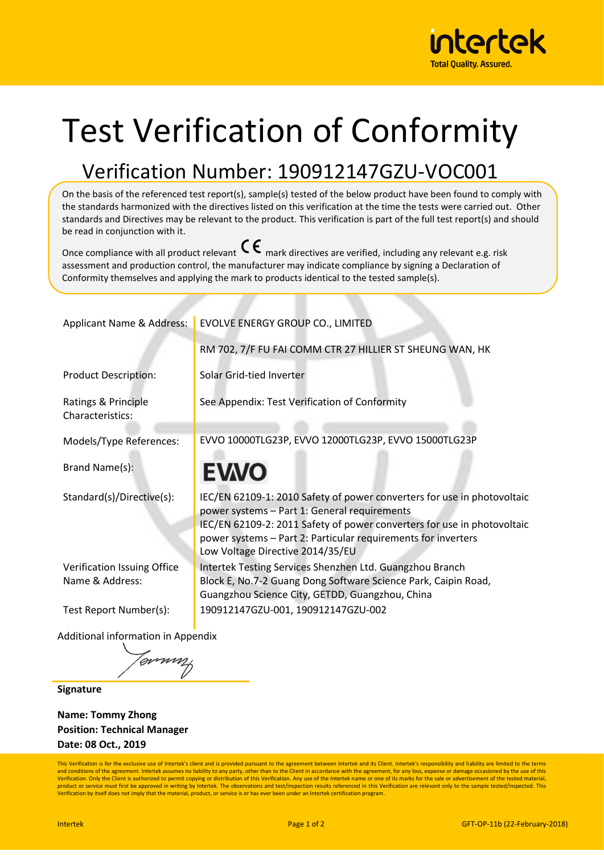

## Test Verification of Conformity

## Verification Number: 190912147GZU-VOC001

On the basis of the referenced test report(s), sample(s) tested of the below product have been found to comply with the standards harmonized with the directives listed on this verification at the time the tests were carried out. Other standards and Directives may be relevant to the product. This verification is part of the full test report(s) and should be read in conjunction with it.

Once compliance with all product relevant  $\mathsf{C}\boldsymbol{\epsilon}$  mark directives are verified, including any relevant e.g. risk assessment and production control, the manufacturer may indicate compliance by signing a Declaration of Conformity themselves and applying the mark to products identical to the tested sample(s).

| <b>Applicant Name &amp; Address:</b>                   | EVOLVE ENERGY GROUP CO., LIMITED                                                                                                                                                                                                                                                                        |  |  |
|--------------------------------------------------------|---------------------------------------------------------------------------------------------------------------------------------------------------------------------------------------------------------------------------------------------------------------------------------------------------------|--|--|
|                                                        | RM 702, 7/F FU FAI COMM CTR 27 HILLIER ST SHEUNG WAN, HK                                                                                                                                                                                                                                                |  |  |
| <b>Product Description:</b>                            | Solar Grid-tied Inverter                                                                                                                                                                                                                                                                                |  |  |
| Ratings & Principle<br>Characteristics:                | See Appendix: Test Verification of Conformity                                                                                                                                                                                                                                                           |  |  |
| Models/Type References:                                | EVVO 10000TLG23P, EVVO 12000TLG23P, EVVO 15000TLG23P                                                                                                                                                                                                                                                    |  |  |
| Brand Name(s):                                         | <b>EVVO</b>                                                                                                                                                                                                                                                                                             |  |  |
| Standard(s)/Directive(s):                              | IEC/EN 62109-1: 2010 Safety of power converters for use in photovoltaic<br>power systems - Part 1: General requirements<br>IEC/EN 62109-2: 2011 Safety of power converters for use in photovoltaic<br>power systems - Part 2: Particular requirements for inverters<br>Low Voltage Directive 2014/35/EU |  |  |
| Verification Issuing Office<br>Name & Address:         | Intertek Testing Services Shenzhen Ltd. Guangzhou Branch<br>Block E, No.7-2 Guang Dong Software Science Park, Caipin Road,<br>Guangzhou Science City, GETDD, Guangzhou, China                                                                                                                           |  |  |
| Test Report Number(s):                                 | 190912147GZU-001, 190912147GZU-002                                                                                                                                                                                                                                                                      |  |  |
| $\Delta$ alalitia waliw $f$ a waaatig wixee Ammagaaliy |                                                                                                                                                                                                                                                                                                         |  |  |

Additional information in Appendix

<sup>Unnur</sup>

**Signature**

**Name: Tommy Zhong Position: Technical Manager Date: 08 Oct., 2019**

This Verification is for the exclusive use of Intertek's client and is provided pursuant to the agreement between Intertek and its Client. Intertek's responsibility and liability are limited to the terms and conditions of the agreement. Intertek assumes no liability to any party, other than to the Client in accordance with the agreement, for any loss, expense or damage occasioned by the use of this<br>Verification. Only the C product or service must first be approved in writing by Intertek. The observations and test/inspection results referenced in this Verification are relevant only to the sample tested/inspected. This Verification by itself does not imply that the material, product, or service is or has ever been under an Intertek certification program.